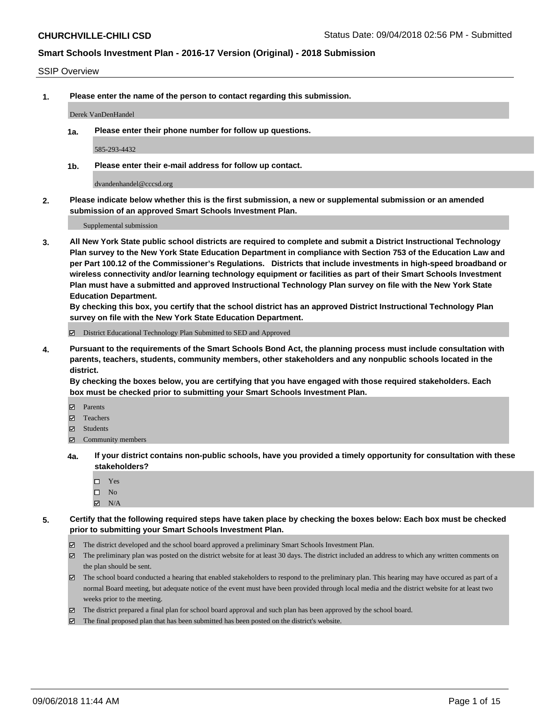#### SSIP Overview

**1. Please enter the name of the person to contact regarding this submission.**

#### Derek VanDenHandel

**1a. Please enter their phone number for follow up questions.**

585-293-4432

**1b. Please enter their e-mail address for follow up contact.**

dvandenhandel@cccsd.org

**2. Please indicate below whether this is the first submission, a new or supplemental submission or an amended submission of an approved Smart Schools Investment Plan.**

Supplemental submission

**3. All New York State public school districts are required to complete and submit a District Instructional Technology Plan survey to the New York State Education Department in compliance with Section 753 of the Education Law and per Part 100.12 of the Commissioner's Regulations. Districts that include investments in high-speed broadband or wireless connectivity and/or learning technology equipment or facilities as part of their Smart Schools Investment Plan must have a submitted and approved Instructional Technology Plan survey on file with the New York State Education Department.** 

**By checking this box, you certify that the school district has an approved District Instructional Technology Plan survey on file with the New York State Education Department.**

District Educational Technology Plan Submitted to SED and Approved

**4. Pursuant to the requirements of the Smart Schools Bond Act, the planning process must include consultation with parents, teachers, students, community members, other stakeholders and any nonpublic schools located in the district.** 

**By checking the boxes below, you are certifying that you have engaged with those required stakeholders. Each box must be checked prior to submitting your Smart Schools Investment Plan.**

- **Parents**
- Teachers
- **☑** Students
- **☑** Community members
- **4a. If your district contains non-public schools, have you provided a timely opportunity for consultation with these stakeholders?**
	- □ Yes
	- $\square$  No
	- $\boxtimes$  N/A
- **5. Certify that the following required steps have taken place by checking the boxes below: Each box must be checked prior to submitting your Smart Schools Investment Plan.**
	- The district developed and the school board approved a preliminary Smart Schools Investment Plan.
	- $\boxtimes$  The preliminary plan was posted on the district website for at least 30 days. The district included an address to which any written comments on the plan should be sent.
	- The school board conducted a hearing that enabled stakeholders to respond to the preliminary plan. This hearing may have occured as part of a normal Board meeting, but adequate notice of the event must have been provided through local media and the district website for at least two weeks prior to the meeting.
	- The district prepared a final plan for school board approval and such plan has been approved by the school board.
	- The final proposed plan that has been submitted has been posted on the district's website.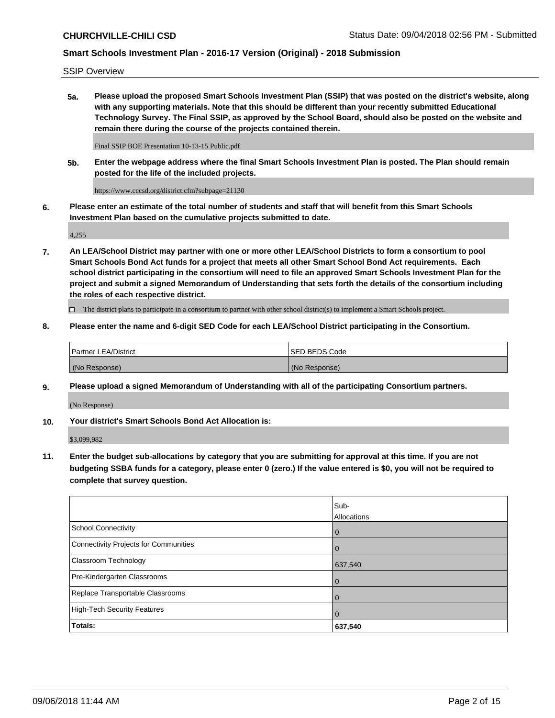SSIP Overview

**5a. Please upload the proposed Smart Schools Investment Plan (SSIP) that was posted on the district's website, along with any supporting materials. Note that this should be different than your recently submitted Educational Technology Survey. The Final SSIP, as approved by the School Board, should also be posted on the website and remain there during the course of the projects contained therein.**

Final SSIP BOE Presentation 10-13-15 Public.pdf

**5b. Enter the webpage address where the final Smart Schools Investment Plan is posted. The Plan should remain posted for the life of the included projects.**

https://www.cccsd.org/district.cfm?subpage=21130

**6. Please enter an estimate of the total number of students and staff that will benefit from this Smart Schools Investment Plan based on the cumulative projects submitted to date.**

4,255

**7. An LEA/School District may partner with one or more other LEA/School Districts to form a consortium to pool Smart Schools Bond Act funds for a project that meets all other Smart School Bond Act requirements. Each school district participating in the consortium will need to file an approved Smart Schools Investment Plan for the project and submit a signed Memorandum of Understanding that sets forth the details of the consortium including the roles of each respective district.**

 $\Box$  The district plans to participate in a consortium to partner with other school district(s) to implement a Smart Schools project.

### **8. Please enter the name and 6-digit SED Code for each LEA/School District participating in the Consortium.**

| Partner LEA/District | <b>ISED BEDS Code</b> |
|----------------------|-----------------------|
| (No Response)        | (No Response)         |

### **9. Please upload a signed Memorandum of Understanding with all of the participating Consortium partners.**

(No Response)

**10. Your district's Smart Schools Bond Act Allocation is:**

\$3,099,982

**11. Enter the budget sub-allocations by category that you are submitting for approval at this time. If you are not budgeting SSBA funds for a category, please enter 0 (zero.) If the value entered is \$0, you will not be required to complete that survey question.**

|                                       | Sub-<br>Allocations |
|---------------------------------------|---------------------|
| <b>School Connectivity</b>            | $\mathbf 0$         |
| Connectivity Projects for Communities | $\Omega$            |
| <b>Classroom Technology</b>           | 637,540             |
| Pre-Kindergarten Classrooms           | $\overline{0}$      |
| Replace Transportable Classrooms      | $\Omega$            |
| High-Tech Security Features           | $\overline{0}$      |
| Totals:                               | 637,540             |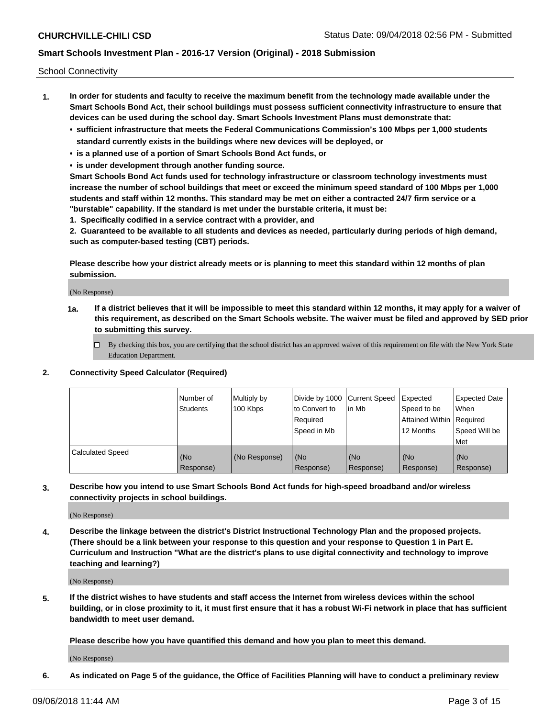School Connectivity

- **1. In order for students and faculty to receive the maximum benefit from the technology made available under the Smart Schools Bond Act, their school buildings must possess sufficient connectivity infrastructure to ensure that devices can be used during the school day. Smart Schools Investment Plans must demonstrate that:**
	- **• sufficient infrastructure that meets the Federal Communications Commission's 100 Mbps per 1,000 students standard currently exists in the buildings where new devices will be deployed, or**
	- **• is a planned use of a portion of Smart Schools Bond Act funds, or**
	- **• is under development through another funding source.**

**Smart Schools Bond Act funds used for technology infrastructure or classroom technology investments must increase the number of school buildings that meet or exceed the minimum speed standard of 100 Mbps per 1,000 students and staff within 12 months. This standard may be met on either a contracted 24/7 firm service or a "burstable" capability. If the standard is met under the burstable criteria, it must be:**

**1. Specifically codified in a service contract with a provider, and**

**2. Guaranteed to be available to all students and devices as needed, particularly during periods of high demand, such as computer-based testing (CBT) periods.**

**Please describe how your district already meets or is planning to meet this standard within 12 months of plan submission.**

(No Response)

**1a. If a district believes that it will be impossible to meet this standard within 12 months, it may apply for a waiver of this requirement, as described on the Smart Schools website. The waiver must be filed and approved by SED prior to submitting this survey.**

 $\Box$  By checking this box, you are certifying that the school district has an approved waiver of this requirement on file with the New York State Education Department.

#### **2. Connectivity Speed Calculator (Required)**

|                         | Number of<br>Students | Multiply by<br>100 Kbps | Divide by 1000 Current Speed<br>to Convert to<br>Required<br>Speed in Mb | l in Mb          | Expected<br>Speed to be<br>Attained Within   Required<br>12 Months | <b>Expected Date</b><br>When<br>Speed Will be<br><b>Met</b> |
|-------------------------|-----------------------|-------------------------|--------------------------------------------------------------------------|------------------|--------------------------------------------------------------------|-------------------------------------------------------------|
| <b>Calculated Speed</b> | (No<br>Response)      | (No Response)           | (No<br>Response)                                                         | (No<br>Response) | (No<br>Response)                                                   | (No<br>Response)                                            |

**3. Describe how you intend to use Smart Schools Bond Act funds for high-speed broadband and/or wireless connectivity projects in school buildings.**

(No Response)

**4. Describe the linkage between the district's District Instructional Technology Plan and the proposed projects. (There should be a link between your response to this question and your response to Question 1 in Part E. Curriculum and Instruction "What are the district's plans to use digital connectivity and technology to improve teaching and learning?)**

(No Response)

**5. If the district wishes to have students and staff access the Internet from wireless devices within the school building, or in close proximity to it, it must first ensure that it has a robust Wi-Fi network in place that has sufficient bandwidth to meet user demand.**

**Please describe how you have quantified this demand and how you plan to meet this demand.**

(No Response)

**6. As indicated on Page 5 of the guidance, the Office of Facilities Planning will have to conduct a preliminary review**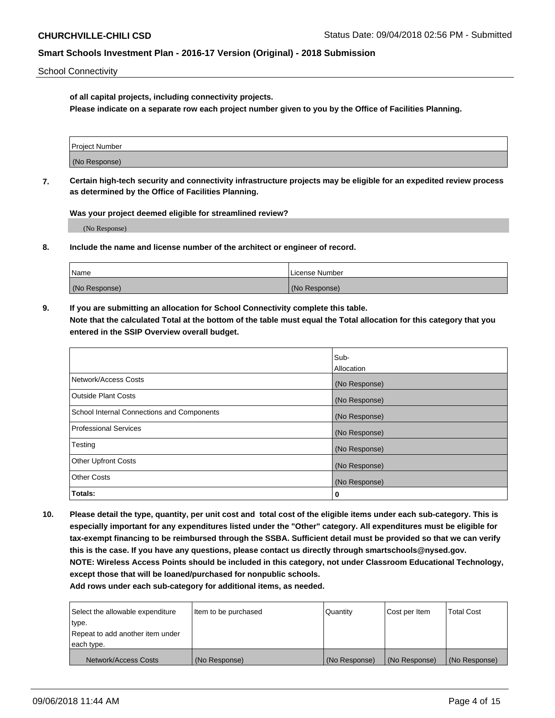School Connectivity

**of all capital projects, including connectivity projects.**

**Please indicate on a separate row each project number given to you by the Office of Facilities Planning.**

| Project Number |  |
|----------------|--|
|                |  |
| (No Response)  |  |
|                |  |

**7. Certain high-tech security and connectivity infrastructure projects may be eligible for an expedited review process as determined by the Office of Facilities Planning.**

**Was your project deemed eligible for streamlined review?**

(No Response)

**8. Include the name and license number of the architect or engineer of record.**

| Name          | License Number |
|---------------|----------------|
| (No Response) | (No Response)  |

**9. If you are submitting an allocation for School Connectivity complete this table. Note that the calculated Total at the bottom of the table must equal the Total allocation for this category that you entered in the SSIP Overview overall budget.** 

|                                            | Sub-              |
|--------------------------------------------|-------------------|
|                                            | <b>Allocation</b> |
| Network/Access Costs                       | (No Response)     |
| <b>Outside Plant Costs</b>                 | (No Response)     |
| School Internal Connections and Components | (No Response)     |
| <b>Professional Services</b>               | (No Response)     |
| Testing                                    | (No Response)     |
| <b>Other Upfront Costs</b>                 | (No Response)     |
| <b>Other Costs</b>                         | (No Response)     |
| Totals:                                    | 0                 |

**10. Please detail the type, quantity, per unit cost and total cost of the eligible items under each sub-category. This is especially important for any expenditures listed under the "Other" category. All expenditures must be eligible for tax-exempt financing to be reimbursed through the SSBA. Sufficient detail must be provided so that we can verify this is the case. If you have any questions, please contact us directly through smartschools@nysed.gov. NOTE: Wireless Access Points should be included in this category, not under Classroom Educational Technology, except those that will be loaned/purchased for nonpublic schools.**

| Select the allowable expenditure | Item to be purchased | Quantity      | <b>Cost per Item</b> | <b>Total Cost</b> |
|----------------------------------|----------------------|---------------|----------------------|-------------------|
| type.                            |                      |               |                      |                   |
| Repeat to add another item under |                      |               |                      |                   |
| each type.                       |                      |               |                      |                   |
| Network/Access Costs             | (No Response)        | (No Response) | (No Response)        | (No Response)     |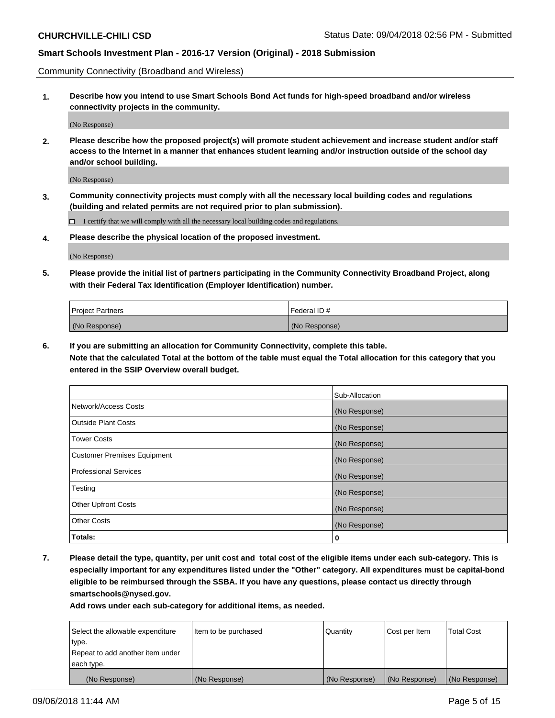Community Connectivity (Broadband and Wireless)

**1. Describe how you intend to use Smart Schools Bond Act funds for high-speed broadband and/or wireless connectivity projects in the community.**

(No Response)

**2. Please describe how the proposed project(s) will promote student achievement and increase student and/or staff access to the Internet in a manner that enhances student learning and/or instruction outside of the school day and/or school building.**

(No Response)

**3. Community connectivity projects must comply with all the necessary local building codes and regulations (building and related permits are not required prior to plan submission).**

 $\Box$  I certify that we will comply with all the necessary local building codes and regulations.

**4. Please describe the physical location of the proposed investment.**

(No Response)

**5. Please provide the initial list of partners participating in the Community Connectivity Broadband Project, along with their Federal Tax Identification (Employer Identification) number.**

| <b>Project Partners</b> | l Federal ID # |
|-------------------------|----------------|
| (No Response)           | (No Response)  |

**6. If you are submitting an allocation for Community Connectivity, complete this table.**

**Note that the calculated Total at the bottom of the table must equal the Total allocation for this category that you entered in the SSIP Overview overall budget.**

|                                    | Sub-Allocation |
|------------------------------------|----------------|
| Network/Access Costs               | (No Response)  |
| Outside Plant Costs                | (No Response)  |
| <b>Tower Costs</b>                 | (No Response)  |
| <b>Customer Premises Equipment</b> | (No Response)  |
| Professional Services              | (No Response)  |
| Testing                            | (No Response)  |
| <b>Other Upfront Costs</b>         | (No Response)  |
| <b>Other Costs</b>                 | (No Response)  |
| Totals:                            | 0              |

**7. Please detail the type, quantity, per unit cost and total cost of the eligible items under each sub-category. This is especially important for any expenditures listed under the "Other" category. All expenditures must be capital-bond eligible to be reimbursed through the SSBA. If you have any questions, please contact us directly through smartschools@nysed.gov.**

| Select the allowable expenditure | Item to be purchased | Quantity      | Cost per Item | <b>Total Cost</b> |
|----------------------------------|----------------------|---------------|---------------|-------------------|
| type.                            |                      |               |               |                   |
| Repeat to add another item under |                      |               |               |                   |
| each type.                       |                      |               |               |                   |
| (No Response)                    | (No Response)        | (No Response) | (No Response) | (No Response)     |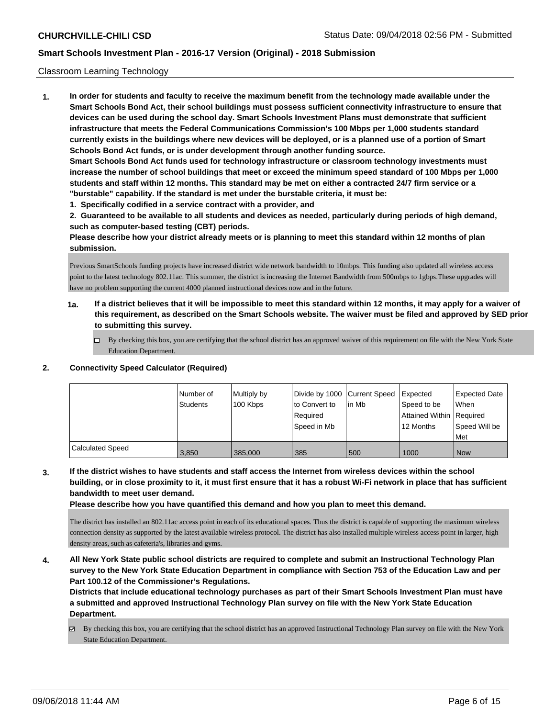### Classroom Learning Technology

**1. In order for students and faculty to receive the maximum benefit from the technology made available under the Smart Schools Bond Act, their school buildings must possess sufficient connectivity infrastructure to ensure that devices can be used during the school day. Smart Schools Investment Plans must demonstrate that sufficient infrastructure that meets the Federal Communications Commission's 100 Mbps per 1,000 students standard currently exists in the buildings where new devices will be deployed, or is a planned use of a portion of Smart Schools Bond Act funds, or is under development through another funding source. Smart Schools Bond Act funds used for technology infrastructure or classroom technology investments must increase the number of school buildings that meet or exceed the minimum speed standard of 100 Mbps per 1,000 students and staff within 12 months. This standard may be met on either a contracted 24/7 firm service or a "burstable" capability. If the standard is met under the burstable criteria, it must be:**

**1. Specifically codified in a service contract with a provider, and**

**2. Guaranteed to be available to all students and devices as needed, particularly during periods of high demand, such as computer-based testing (CBT) periods.**

**Please describe how your district already meets or is planning to meet this standard within 12 months of plan submission.**

Previous SmartSchools funding projects have increased district wide network bandwidth to 10mbps. This funding also updated all wireless access point to the latest technology 802.11ac. This summer, the district is increasing the Internet Bandwidth from 500mbps to 1gbps.These upgrades will have no problem supporting the current 4000 planned instructional devices now and in the future.

- **1a. If a district believes that it will be impossible to meet this standard within 12 months, it may apply for a waiver of this requirement, as described on the Smart Schools website. The waiver must be filed and approved by SED prior to submitting this survey.**
	- By checking this box, you are certifying that the school district has an approved waiver of this requirement on file with the New York State Education Department.

#### **2. Connectivity Speed Calculator (Required)**

|                         | l Number of<br>Students | Multiply by<br>100 Kbps | Divide by 1000 Current Speed<br>to Convert to<br>Required<br>Speed in Mb | in Mb | <b>Expected</b><br>Speed to be<br>Attained Within Required<br>12 Months | <b>Expected Date</b><br><b>When</b><br>Speed Will be<br>Met |
|-------------------------|-------------------------|-------------------------|--------------------------------------------------------------------------|-------|-------------------------------------------------------------------------|-------------------------------------------------------------|
| <b>Calculated Speed</b> | 3.850                   | 385.000                 | 385                                                                      | 500   | 1000                                                                    | <b>Now</b>                                                  |

**3. If the district wishes to have students and staff access the Internet from wireless devices within the school building, or in close proximity to it, it must first ensure that it has a robust Wi-Fi network in place that has sufficient bandwidth to meet user demand.**

**Please describe how you have quantified this demand and how you plan to meet this demand.**

The district has installed an 802.11ac access point in each of its educational spaces. Thus the district is capable of supporting the maximum wireless connection density as supported by the latest available wireless protocol. The district has also installed multiple wireless access point in larger, high density areas, such as cafeteria's, libraries and gyms.

**4. All New York State public school districts are required to complete and submit an Instructional Technology Plan survey to the New York State Education Department in compliance with Section 753 of the Education Law and per Part 100.12 of the Commissioner's Regulations.**

**Districts that include educational technology purchases as part of their Smart Schools Investment Plan must have a submitted and approved Instructional Technology Plan survey on file with the New York State Education Department.**

By checking this box, you are certifying that the school district has an approved Instructional Technology Plan survey on file with the New York State Education Department.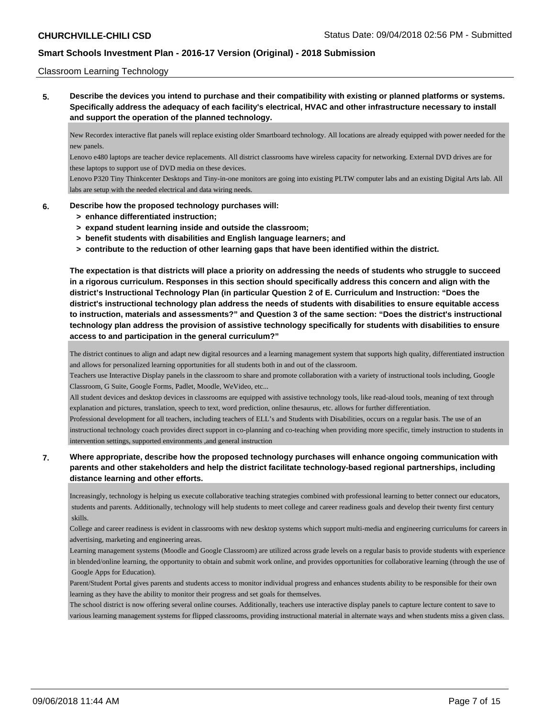### Classroom Learning Technology

**5. Describe the devices you intend to purchase and their compatibility with existing or planned platforms or systems. Specifically address the adequacy of each facility's electrical, HVAC and other infrastructure necessary to install and support the operation of the planned technology.**

New Recordex interactive flat panels will replace existing older Smartboard technology. All locations are already equipped with power needed for the new panels.

Lenovo e480 laptops are teacher device replacements. All district classrooms have wireless capacity for networking. External DVD drives are for these laptops to support use of DVD media on these devices.

Lenovo P320 Tiny Thinkcenter Desktops and Tiny-in-one monitors are going into existing PLTW computer labs and an existing Digital Arts lab. All labs are setup with the needed electrical and data wiring needs.

### **6. Describe how the proposed technology purchases will:**

- **> enhance differentiated instruction;**
- **> expand student learning inside and outside the classroom;**
- **> benefit students with disabilities and English language learners; and**
- **> contribute to the reduction of other learning gaps that have been identified within the district.**

**The expectation is that districts will place a priority on addressing the needs of students who struggle to succeed in a rigorous curriculum. Responses in this section should specifically address this concern and align with the district's Instructional Technology Plan (in particular Question 2 of E. Curriculum and Instruction: "Does the district's instructional technology plan address the needs of students with disabilities to ensure equitable access to instruction, materials and assessments?" and Question 3 of the same section: "Does the district's instructional technology plan address the provision of assistive technology specifically for students with disabilities to ensure access to and participation in the general curriculum?"**

The district continues to align and adapt new digital resources and a learning management system that supports high quality, differentiated instruction and allows for personalized learning opportunities for all students both in and out of the classroom.

Teachers use Interactive Display panels in the classroom to share and promote collaboration with a variety of instructional tools including, Google Classroom, G Suite, Google Forms, Padlet, Moodle, WeVideo, etc...

All student devices and desktop devices in classrooms are equipped with assistive technology tools, like read-aloud tools, meaning of text through explanation and pictures, translation, speech to text, word prediction, online thesaurus, etc. allows for further differentiation.

Professional development for all teachers, including teachers of ELL's and Students with Disabilities, occurs on a regular basis. The use of an instructional technology coach provides direct support in co-planning and co-teaching when providing more specific, timely instruction to students in

intervention settings, supported environments ,and general instruction

### **7. Where appropriate, describe how the proposed technology purchases will enhance ongoing communication with parents and other stakeholders and help the district facilitate technology-based regional partnerships, including distance learning and other efforts.**

Increasingly, technology is helping us execute collaborative teaching strategies combined with professional learning to better connect our educators, students and parents. Additionally, technology will help students to meet college and career readiness goals and develop their twenty first century skills.

College and career readiness is evident in classrooms with new desktop systems which support multi-media and engineering curriculums for careers in advertising, marketing and engineering areas.

Learning management systems (Moodle and Google Classroom) are utilized across grade levels on a regular basis to provide students with experience in blended/online learning, the opportunity to obtain and submit work online, and provides opportunities for collaborative learning (through the use of Google Apps for Education).

Parent/Student Portal gives parents and students access to monitor individual progress and enhances students ability to be responsible for their own learning as they have the ability to monitor their progress and set goals for themselves.

The school district is now offering several online courses. Additionally, teachers use interactive display panels to capture lecture content to save to various learning management systems for flipped classrooms, providing instructional material in alternate ways and when students miss a given class.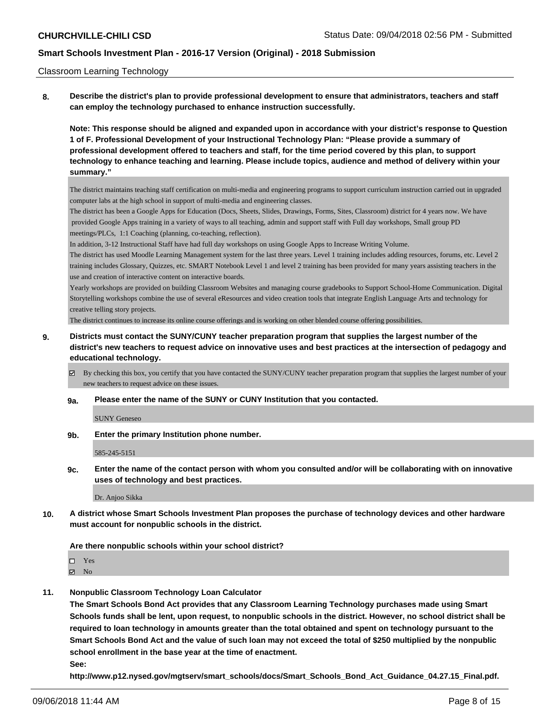### Classroom Learning Technology

**8. Describe the district's plan to provide professional development to ensure that administrators, teachers and staff can employ the technology purchased to enhance instruction successfully.**

**Note: This response should be aligned and expanded upon in accordance with your district's response to Question 1 of F. Professional Development of your Instructional Technology Plan: "Please provide a summary of professional development offered to teachers and staff, for the time period covered by this plan, to support technology to enhance teaching and learning. Please include topics, audience and method of delivery within your summary."**

The district maintains teaching staff certification on multi-media and engineering programs to support curriculum instruction carried out in upgraded computer labs at the high school in support of multi-media and engineering classes.

The district has been a Google Apps for Education (Docs, Sheets, Slides, Drawings, Forms, Sites, Classroom) district for 4 years now. We have provided Google Apps training in a variety of ways to all teaching, admin and support staff with Full day workshops, Small group PD meetings/PLCs, 1:1 Coaching (planning, co-teaching, reflection).

In addition, 3-12 Instructional Staff have had full day workshops on using Google Apps to Increase Writing Volume.

The district has used Moodle Learning Management system for the last three years. Level 1 training includes adding resources, forums, etc. Level 2 training includes Glossary, Quizzes, etc. SMART Notebook Level 1 and level 2 training has been provided for many years assisting teachers in the use and creation of interactive content on interactive boards.

Yearly workshops are provided on building Classroom Websites and managing course gradebooks to Support School-Home Communication. Digital Storytelling workshops combine the use of several eResources and video creation tools that integrate English Language Arts and technology for creative telling story projects.

The district continues to increase its online course offerings and is working on other blended course offering possibilities.

## **9. Districts must contact the SUNY/CUNY teacher preparation program that supplies the largest number of the district's new teachers to request advice on innovative uses and best practices at the intersection of pedagogy and educational technology.**

By checking this box, you certify that you have contacted the SUNY/CUNY teacher preparation program that supplies the largest number of your new teachers to request advice on these issues.

#### **9a. Please enter the name of the SUNY or CUNY Institution that you contacted.**

SUNY Geneseo

**9b. Enter the primary Institution phone number.**

585-245-5151

**9c. Enter the name of the contact person with whom you consulted and/or will be collaborating with on innovative uses of technology and best practices.**

Dr. Anjoo Sikka

**10. A district whose Smart Schools Investment Plan proposes the purchase of technology devices and other hardware must account for nonpublic schools in the district.**

#### **Are there nonpublic schools within your school district?**

Yes

 $\blacksquare$  No

**11. Nonpublic Classroom Technology Loan Calculator**

**The Smart Schools Bond Act provides that any Classroom Learning Technology purchases made using Smart Schools funds shall be lent, upon request, to nonpublic schools in the district. However, no school district shall be required to loan technology in amounts greater than the total obtained and spent on technology pursuant to the Smart Schools Bond Act and the value of such loan may not exceed the total of \$250 multiplied by the nonpublic school enrollment in the base year at the time of enactment.**

**See:**

**http://www.p12.nysed.gov/mgtserv/smart\_schools/docs/Smart\_Schools\_Bond\_Act\_Guidance\_04.27.15\_Final.pdf.**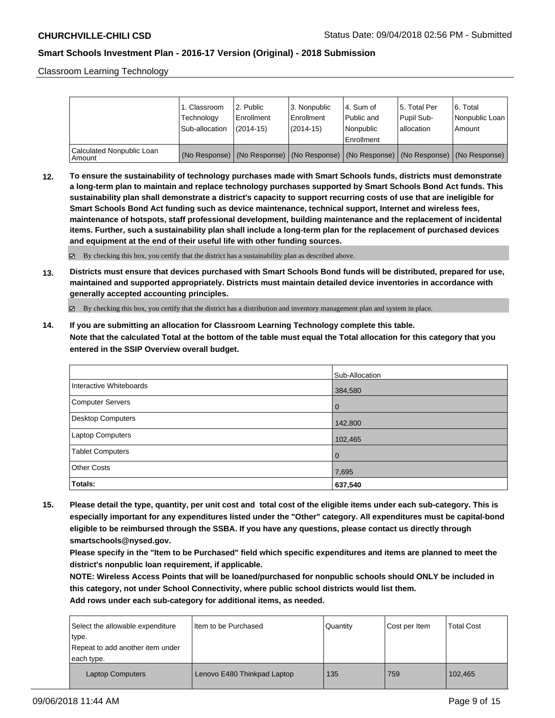Classroom Learning Technology

|                                     | 1. Classroom<br>Technology<br>Sub-allocation | l 2. Public<br>Enrollment<br>$(2014 - 15)$ | 3. Nonpublic<br>Enrollment<br>$(2014-15)$ | l 4. Sum of<br>Public and<br>l Nonpublic                                                      | 15. Total Per<br>Pupil Sub-<br>lallocation | 6. Total<br>Nonpublic Loan  <br>Amount |
|-------------------------------------|----------------------------------------------|--------------------------------------------|-------------------------------------------|-----------------------------------------------------------------------------------------------|--------------------------------------------|----------------------------------------|
|                                     |                                              |                                            |                                           | Enrollment                                                                                    |                                            |                                        |
| Calculated Nonpublic Loan<br>Amount |                                              |                                            |                                           | (No Response)   (No Response)   (No Response)   (No Response)   (No Response)   (No Response) |                                            |                                        |

**12. To ensure the sustainability of technology purchases made with Smart Schools funds, districts must demonstrate a long-term plan to maintain and replace technology purchases supported by Smart Schools Bond Act funds. This sustainability plan shall demonstrate a district's capacity to support recurring costs of use that are ineligible for Smart Schools Bond Act funding such as device maintenance, technical support, Internet and wireless fees, maintenance of hotspots, staff professional development, building maintenance and the replacement of incidental items. Further, such a sustainability plan shall include a long-term plan for the replacement of purchased devices and equipment at the end of their useful life with other funding sources.**

 $\boxtimes$  By checking this box, you certify that the district has a sustainability plan as described above.

**13. Districts must ensure that devices purchased with Smart Schools Bond funds will be distributed, prepared for use, maintained and supported appropriately. Districts must maintain detailed device inventories in accordance with generally accepted accounting principles.**

By checking this box, you certify that the district has a distribution and inventory management plan and system in place.

**14. If you are submitting an allocation for Classroom Learning Technology complete this table. Note that the calculated Total at the bottom of the table must equal the Total allocation for this category that you entered in the SSIP Overview overall budget.**

|                         | Sub-Allocation |
|-------------------------|----------------|
| Interactive Whiteboards | 384,580        |
| Computer Servers        | l 0            |
| Desktop Computers       | 142,800        |
| <b>Laptop Computers</b> | 102,465        |
| <b>Tablet Computers</b> | l 0            |
| <b>Other Costs</b>      | 7,695          |
| Totals:                 | 637,540        |

**15. Please detail the type, quantity, per unit cost and total cost of the eligible items under each sub-category. This is especially important for any expenditures listed under the "Other" category. All expenditures must be capital-bond eligible to be reimbursed through the SSBA. If you have any questions, please contact us directly through smartschools@nysed.gov.**

**Please specify in the "Item to be Purchased" field which specific expenditures and items are planned to meet the district's nonpublic loan requirement, if applicable.**

**NOTE: Wireless Access Points that will be loaned/purchased for nonpublic schools should ONLY be included in this category, not under School Connectivity, where public school districts would list them.**

| Select the allowable expenditure<br>type.<br>Repeat to add another item under<br>each type. | I Item to be Purchased      | Quantity | Cost per Item | <b>Total Cost</b> |
|---------------------------------------------------------------------------------------------|-----------------------------|----------|---------------|-------------------|
| <b>Laptop Computers</b>                                                                     | Lenovo E480 Thinkpad Laptop | 135      | 759           | 102.465           |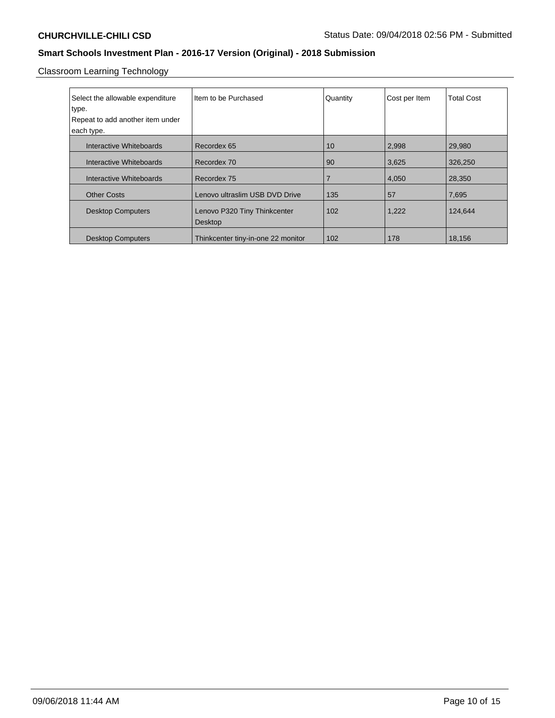Classroom Learning Technology

| Select the allowable expenditure | Item to be Purchased               | Quantity | Cost per Item | <b>Total Cost</b> |
|----------------------------------|------------------------------------|----------|---------------|-------------------|
| type.                            |                                    |          |               |                   |
| Repeat to add another item under |                                    |          |               |                   |
| each type.                       |                                    |          |               |                   |
| Interactive Whiteboards          | Recordex 65                        | 10       | 2,998         | 29,980            |
| Interactive Whiteboards          | Recordex 70                        | 90       | 3,625         | 326,250           |
| Interactive Whiteboards          | Recordex 75                        | 7        | 4,050         | 28,350            |
| <b>Other Costs</b>               | Lenovo ultraslim USB DVD Drive     | 135      | 57            | 7,695             |
| <b>Desktop Computers</b>         | Lenovo P320 Tiny Thinkcenter       | 102      | 1,222         | 124,644           |
|                                  | Desktop                            |          |               |                   |
| <b>Desktop Computers</b>         | Thinkcenter tiny-in-one 22 monitor | 102      | 178           | 18,156            |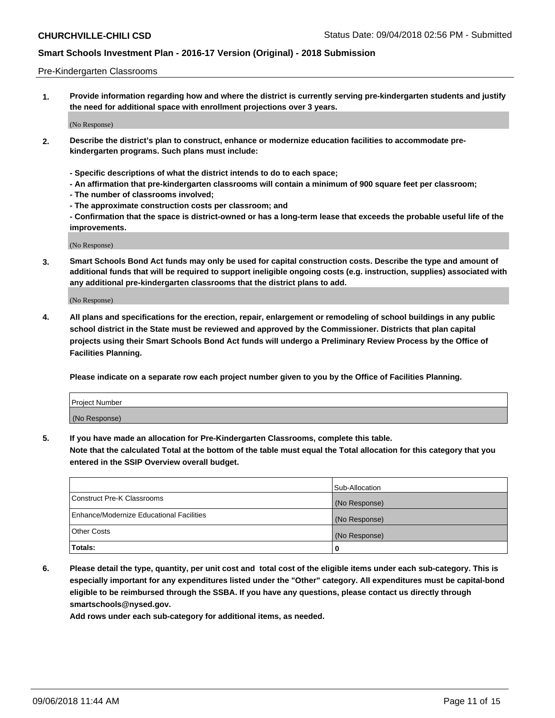### Pre-Kindergarten Classrooms

**1. Provide information regarding how and where the district is currently serving pre-kindergarten students and justify the need for additional space with enrollment projections over 3 years.**

(No Response)

- **2. Describe the district's plan to construct, enhance or modernize education facilities to accommodate prekindergarten programs. Such plans must include:**
	- **Specific descriptions of what the district intends to do to each space;**
	- **An affirmation that pre-kindergarten classrooms will contain a minimum of 900 square feet per classroom;**
	- **The number of classrooms involved;**
	- **The approximate construction costs per classroom; and**
	- **Confirmation that the space is district-owned or has a long-term lease that exceeds the probable useful life of the improvements.**

(No Response)

**3. Smart Schools Bond Act funds may only be used for capital construction costs. Describe the type and amount of additional funds that will be required to support ineligible ongoing costs (e.g. instruction, supplies) associated with any additional pre-kindergarten classrooms that the district plans to add.**

(No Response)

**4. All plans and specifications for the erection, repair, enlargement or remodeling of school buildings in any public school district in the State must be reviewed and approved by the Commissioner. Districts that plan capital projects using their Smart Schools Bond Act funds will undergo a Preliminary Review Process by the Office of Facilities Planning.**

**Please indicate on a separate row each project number given to you by the Office of Facilities Planning.**

| Project Number |  |
|----------------|--|
| (No Response)  |  |
|                |  |

**5. If you have made an allocation for Pre-Kindergarten Classrooms, complete this table.**

**Note that the calculated Total at the bottom of the table must equal the Total allocation for this category that you entered in the SSIP Overview overall budget.**

|                                          | Sub-Allocation |
|------------------------------------------|----------------|
| Construct Pre-K Classrooms               | (No Response)  |
| Enhance/Modernize Educational Facilities | (No Response)  |
| <b>Other Costs</b>                       | (No Response)  |
| Totals:                                  | 0              |

**6. Please detail the type, quantity, per unit cost and total cost of the eligible items under each sub-category. This is especially important for any expenditures listed under the "Other" category. All expenditures must be capital-bond eligible to be reimbursed through the SSBA. If you have any questions, please contact us directly through smartschools@nysed.gov.**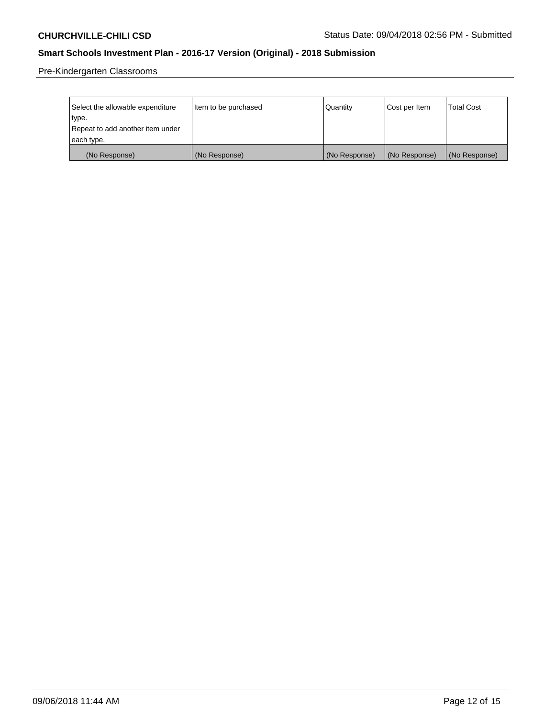Pre-Kindergarten Classrooms

| Select the allowable expenditure | Item to be purchased | Quantity      | Cost per Item | <b>Total Cost</b> |
|----------------------------------|----------------------|---------------|---------------|-------------------|
| type.                            |                      |               |               |                   |
| Repeat to add another item under |                      |               |               |                   |
| each type.                       |                      |               |               |                   |
| (No Response)                    | (No Response)        | (No Response) | (No Response) | (No Response)     |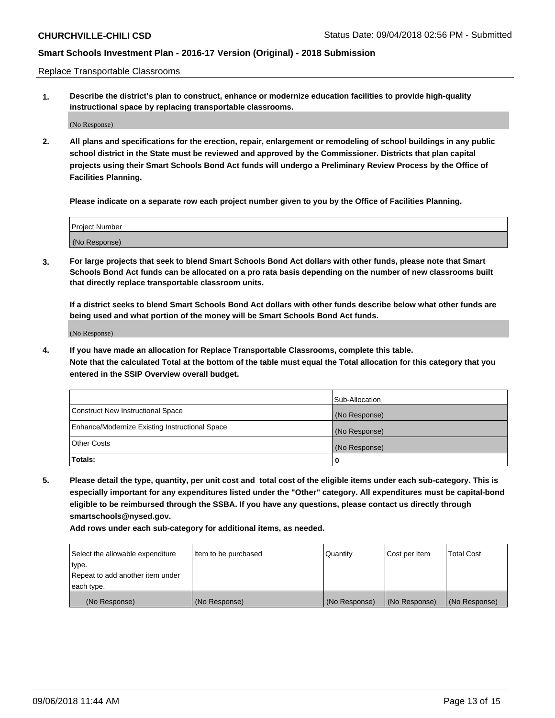Replace Transportable Classrooms

**1. Describe the district's plan to construct, enhance or modernize education facilities to provide high-quality instructional space by replacing transportable classrooms.**

(No Response)

**2. All plans and specifications for the erection, repair, enlargement or remodeling of school buildings in any public school district in the State must be reviewed and approved by the Commissioner. Districts that plan capital projects using their Smart Schools Bond Act funds will undergo a Preliminary Review Process by the Office of Facilities Planning.**

**Please indicate on a separate row each project number given to you by the Office of Facilities Planning.**

| Project Number |  |
|----------------|--|
|                |  |
|                |  |
|                |  |
|                |  |
| (No Response)  |  |
|                |  |
|                |  |
|                |  |

**3. For large projects that seek to blend Smart Schools Bond Act dollars with other funds, please note that Smart Schools Bond Act funds can be allocated on a pro rata basis depending on the number of new classrooms built that directly replace transportable classroom units.**

**If a district seeks to blend Smart Schools Bond Act dollars with other funds describe below what other funds are being used and what portion of the money will be Smart Schools Bond Act funds.**

(No Response)

**4. If you have made an allocation for Replace Transportable Classrooms, complete this table. Note that the calculated Total at the bottom of the table must equal the Total allocation for this category that you entered in the SSIP Overview overall budget.**

|                                                | Sub-Allocation |
|------------------------------------------------|----------------|
| Construct New Instructional Space              | (No Response)  |
| Enhance/Modernize Existing Instructional Space | (No Response)  |
| <b>Other Costs</b>                             | (No Response)  |
| Totals:                                        | 0              |

**5. Please detail the type, quantity, per unit cost and total cost of the eligible items under each sub-category. This is especially important for any expenditures listed under the "Other" category. All expenditures must be capital-bond eligible to be reimbursed through the SSBA. If you have any questions, please contact us directly through smartschools@nysed.gov.**

| Select the allowable expenditure | Item to be purchased | l Quantitv    | Cost per Item | <b>Total Cost</b> |
|----------------------------------|----------------------|---------------|---------------|-------------------|
| type.                            |                      |               |               |                   |
| Repeat to add another item under |                      |               |               |                   |
| each type.                       |                      |               |               |                   |
| (No Response)                    | (No Response)        | (No Response) | (No Response) | (No Response)     |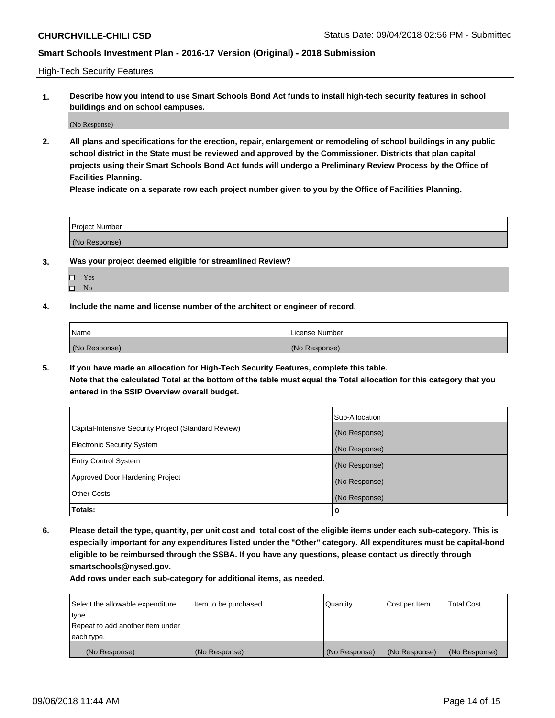High-Tech Security Features

**1. Describe how you intend to use Smart Schools Bond Act funds to install high-tech security features in school buildings and on school campuses.**

(No Response)

**2. All plans and specifications for the erection, repair, enlargement or remodeling of school buildings in any public school district in the State must be reviewed and approved by the Commissioner. Districts that plan capital projects using their Smart Schools Bond Act funds will undergo a Preliminary Review Process by the Office of Facilities Planning.** 

**Please indicate on a separate row each project number given to you by the Office of Facilities Planning.**

| <b>Project Number</b> |  |
|-----------------------|--|
| (No Response)         |  |

- **3. Was your project deemed eligible for streamlined Review?**
	- Yes
	- $\square$  No
- **4. Include the name and license number of the architect or engineer of record.**

| <b>Name</b>   | License Number |
|---------------|----------------|
| (No Response) | (No Response)  |

**5. If you have made an allocation for High-Tech Security Features, complete this table.**

**Note that the calculated Total at the bottom of the table must equal the Total allocation for this category that you entered in the SSIP Overview overall budget.**

|                                                      | Sub-Allocation |
|------------------------------------------------------|----------------|
| Capital-Intensive Security Project (Standard Review) | (No Response)  |
| <b>Electronic Security System</b>                    | (No Response)  |
| <b>Entry Control System</b>                          | (No Response)  |
| Approved Door Hardening Project                      | (No Response)  |
| <b>Other Costs</b>                                   | (No Response)  |
| Totals:                                              | 0              |

**6. Please detail the type, quantity, per unit cost and total cost of the eligible items under each sub-category. This is especially important for any expenditures listed under the "Other" category. All expenditures must be capital-bond eligible to be reimbursed through the SSBA. If you have any questions, please contact us directly through smartschools@nysed.gov.**

| Select the allowable expenditure | Item to be purchased | Quantity      | Cost per Item | <b>Total Cost</b> |
|----------------------------------|----------------------|---------------|---------------|-------------------|
| type.                            |                      |               |               |                   |
| Repeat to add another item under |                      |               |               |                   |
| each type.                       |                      |               |               |                   |
| (No Response)                    | (No Response)        | (No Response) | (No Response) | (No Response)     |